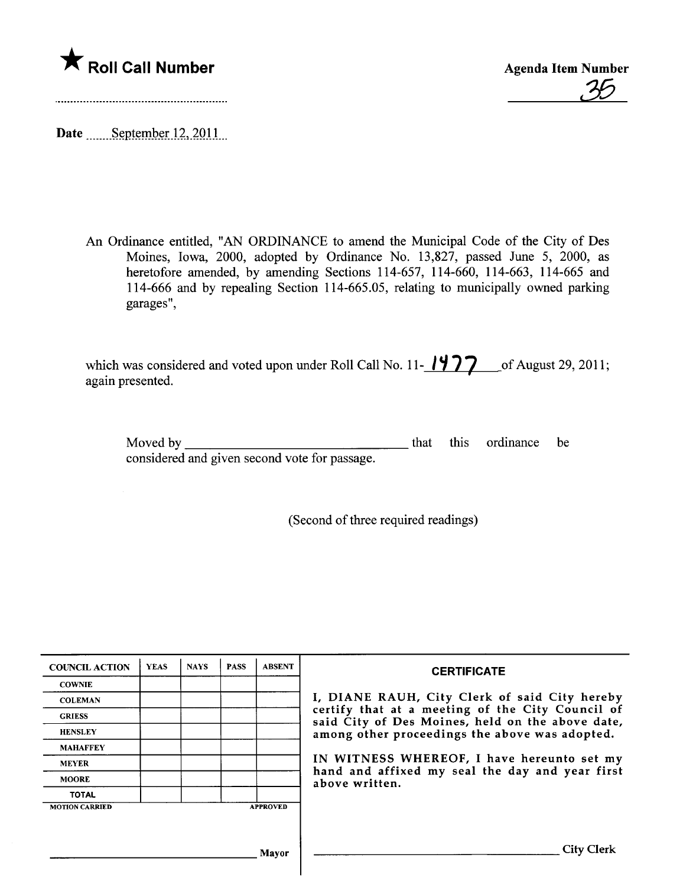

<u>35</u>

Date September 12, 2011

An Ordinance entitled, "AN ORDINANCE to amend the Municipal Code of the City of Des Moines, Iowa, 2000, adopted by Ordinance No. 13,827, passed June 5, 2000, as heretofore amended, by amending Sections 114-657, 114-660, 114-663, 114-665 and 114-666 and by repealing Section 114-665.05, relating to municipally owned parking garages",

| which was considered and voted upon under Roll Call No. 11- $1977$ of August 29, 2011; |  |
|----------------------------------------------------------------------------------------|--|
| again presented.                                                                       |  |

Moved by

that this ordinance be

considered and given second vote for passage.

(Second of three required readings)

| <b>COUNCIL ACTION</b> | <b>YEAS</b> | <b>NAYS</b> | <b>PASS</b> | <b>ABSENT</b>   | <b>CERTIFICATE</b>                                                                                   |
|-----------------------|-------------|-------------|-------------|-----------------|------------------------------------------------------------------------------------------------------|
| <b>COWNIE</b>         |             |             |             |                 |                                                                                                      |
| <b>COLEMAN</b>        |             |             |             |                 | I, DIANE RAUH, City Clerk of said City hereby                                                        |
| <b>GRIESS</b>         |             |             |             |                 | certify that at a meeting of the City Council of<br>said City of Des Moines, held on the above date, |
| <b>HENSLEY</b>        |             |             |             |                 | among other proceedings the above was adopted.                                                       |
| <b>MAHAFFEY</b>       |             |             |             |                 |                                                                                                      |
| <b>MEYER</b>          |             |             |             |                 | IN WITNESS WHEREOF, I have hereunto set my                                                           |
| <b>MOORE</b>          |             |             |             |                 | hand and affixed my seal the day and year first<br>above written.                                    |
| <b>TOTAL</b>          |             |             |             |                 |                                                                                                      |
| <b>MOTION CARRIED</b> |             |             |             | <b>APPROVED</b> |                                                                                                      |
|                       |             |             |             |                 |                                                                                                      |
|                       |             |             |             | Mayor           | <b>City Clerk</b>                                                                                    |
|                       |             |             |             |                 |                                                                                                      |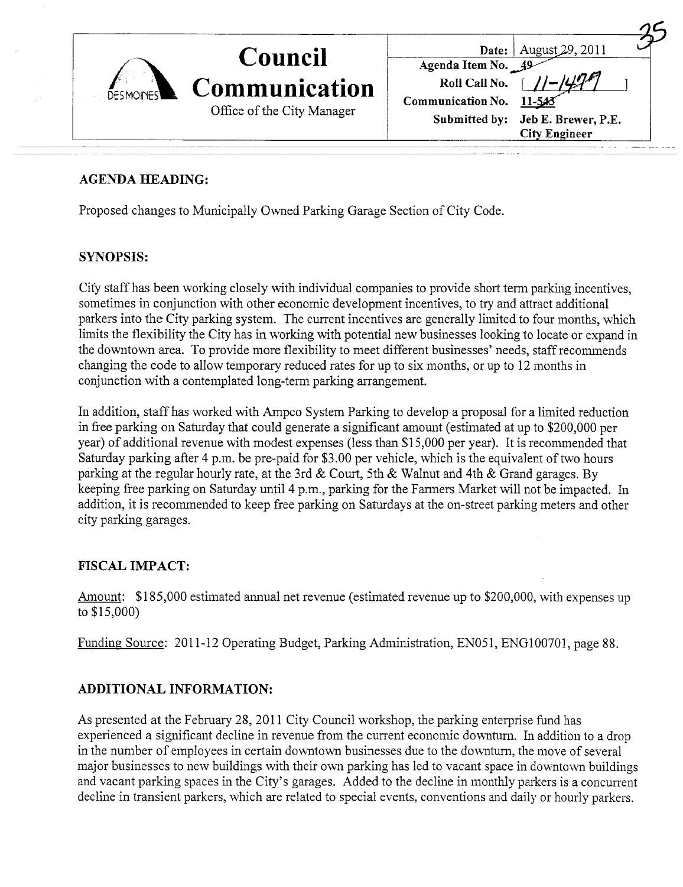|           | <b>Council</b>                                     | August 29, 2011<br>Date:          |
|-----------|----------------------------------------------------|-----------------------------------|
|           |                                                    | Agenda Item No. 49                |
| DESMOINES | <b>Communication</b><br>Office of the City Manager | Roll Call No.                     |
|           |                                                    | Communication No.<br>11-543       |
|           |                                                    | Submitted by: Jeb E. Brewer, P.E. |
|           |                                                    | <b>City Engineer</b>              |

## AGENDA HEADING:

Proposed changes to Municipally Ovmed Parking Garage Section of City Code.

## SYNOPSIS:

City staff has been working closely with individual companies to provide short term parking incentives, sometimes in conjunction with other economic development incentives, to try and attract additional parkers into the City parking system. The current incentives are generally limited to four months, which limits the flexibility the City has in working with potential new businesses looking to locate or expand in the downtown area. To provide more flexibility to meet different businesses' needs, staff recommends changing the code to allow temporary reduced rates for up to six months, or up to 12 months in conjunction with a contemplated long-term parking arrangement.

In addition, staff has worked with Ampco System Parking to develop a proposal for a limited reduction in free parking on Saturday that could generate a significant amount (estimated at up to \$200,000 per year) of additional revenue with modest expenses (less than \$15,000 per year). It is recommended that Saturday parking after 4 p.m. be pre-paid for \$3.00 per vehicle, which is the equivalent of two hours parking at the regular hourly rate, at the 3rd & Court, 5th & Walnut and 4th & Grand garages. By keeping free parking on Saturday until 4 p.m., parking for the Farmers Market will not be impacted. In addition, it is recommended to keep free parking on Satudays at the on-street parking meters and other city parking garages.

## FISCAL IMPACT:

Amount: \$185,000 estimated annual net revenue (estimated revenue up to \$200,000, with expenses up to \$15,000)

Funding Source: 2011-12 Operating Budget, Parking Administration, EN051, ENGlO0701, page 88.

## ADDITIONAL INFORMATION:

As presented at the Febmary 28,2011 City Council workshop, the parking enterprise fund has experienced a significant decline in revenue from the current economic downturn. In addition to a drop in the number of employees in certain downtovvn businesses due to the downtum, the move of several major businesses to new buildings with their own parking has led to vacant space in downtown buildings and vacant parking spaces in the City's garages. Added to the decline in monthly parkers is a concurrent decline in transient parkers, which are related to special events, conventions and daily or hourly parkers.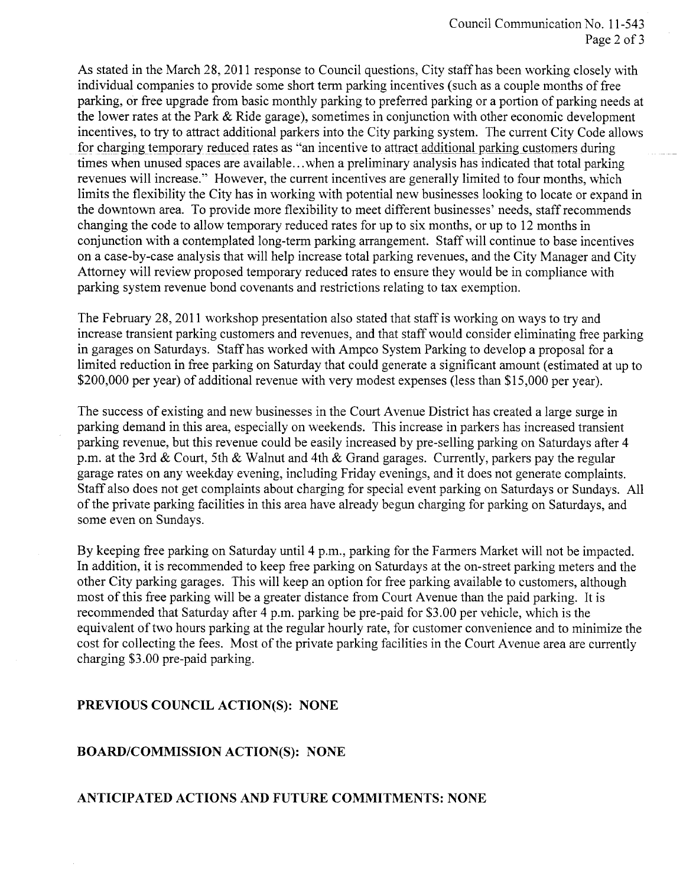As stated in the March 28,2011 response to Council questions, City staff has been working closely with individual companies to provide some short term parking incentives (such as a couple months of free parking, or free upgrade from basic monthly parking to preferred parking or a portion of parking needs at the lower rates at the Park & Ride garage), sometimes in conjunction with other economic development incentives, to try to attract additional parkers into the City parking system. The current City Code allows for charging temporary reduced rates as "an incentive to attract additional parking customers during times when unused spaces are available... when a preliminary analysis has indicated that total parking revenues will increase." However, the current incentives are generally limited to four months, which limits the flexibility the City has in working with potential new businesses looking to locate or expand in the downtown area. To provide more flexibility to meet different businesses' needs, staff recommends changing the code to allow temporary reduced rates for up to six months, or up to 12 months in conjunction with a contemplated long-term parking arrangement. Staff will continue to base incentives on a case-by-case analysis that wil help increase total parking revenues, and the City Manager and City Attorney will review proposed temporary reduced rates to ensure they would be in compliance with parking system revenue bond covenants and restrictions relating to tax exemption.

The February 28, 2011 workshop presentation also stated that staff is working on ways to try and increase transient parking customers and revenues, and that staff would consider eliminating free parking in garages on Saturdays. Staff has worked with Ampco System Parking to develop a proposal for a limited reduction in free parking on Saturday that could generate a significant amount (estimated at up to \$200,000 per year) of additional revenue with very modest expenses (less than \$15,000 per year).

The success of existing and new businesses in the Court A venue District has created a large surge in parking demand in this area, especially on weekends. This increase in parkers has increased transient parking revenue, but this revenue could be easily increased by pre-selling parking on Saturdays after 4 p.m. at the 3rd & Court, 5th & Walnut and 4th & Grand garages. Currently, parkers pay the regular garage rates on any weekday evening, including Friday evenings, and it does not generate complaints. Staff also does not get complaints about charging for special event parking on Saturdays or Sundays. All of the private parking facilities in this area have already begun charging for parking on Saturdays, and some even on Sundays.

By keeping free parking on Saturday until 4 p.m., parking for the Farmers Market will not be impacted. In addition, it is recommended to keep free parking on Satudays at the on-street parking meters and the other City parking garages. This will keep an option for free parking available to customers, although most of this free parking will be a greater distance from Court A venue than the paid parking. It is recommended that Saturday after 4 p.m. parking be pre-paid for \$3.00 per vehicle, which is the equivalent of two hours parking at the regular hourly rate, for customer convenience and to minimize the cost for collecting the fees. Most of the private parking facilities in the Court Avenue area are currently charging \$3.00 pre-paid parking.

#### PREVIOUS COUNCIL ACTION(S): NONE

#### BOARD/COMMISSION ACTION(S): NONE

### ANTICIPATED ACTIONS AND FUTURE COMMITMENTS: NONE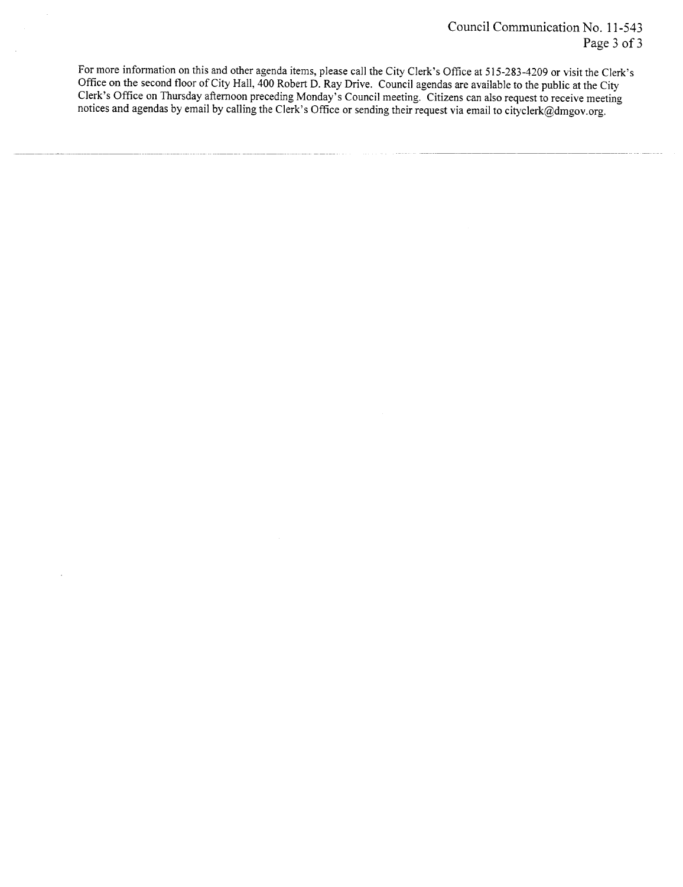For more information on this and other agenda items, please call the City Clerk's Office at 515-283-4209 or visit the Clerk's Office on the second floor of City Hall, 400 Robert D. Ray Drive. Council agendas are available to the public at the City Clerk's Office on Thursday afternoon preceding Monday's Council meeting. Citizens can also request to receive meeting notices and agendas by email by calling the Clerk's Office or sending their request via email to cityclerk@dmgoy.org.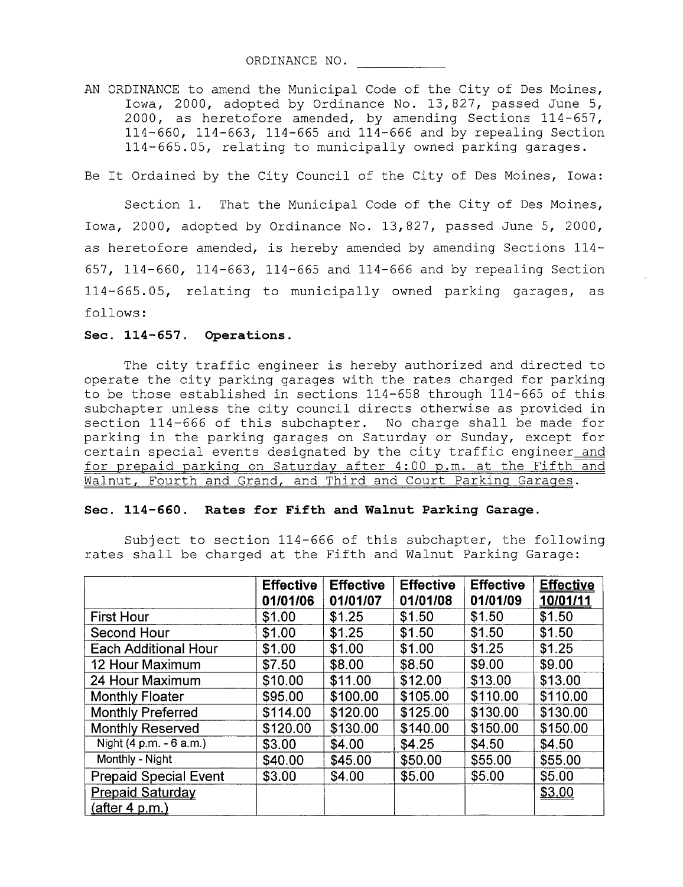ORDINANCE NO.

AN ORDINANCE to amend the Municipal Code of the City of Des Moines, Iowa, 2000, adopted by Ordinance No. 13,827, passed June 5, 2000, as heretofore amended, by amending Sections 114-657, 114- 660, 114-663, 114-665 and 114-666 and by repealing Section 114-665.05, relating to municipally owned parking garages.

Be It Ordained by the City Council of the City of Des Moines, Iowa:

Section 1. That the Municipal Code of the City of Des Moines, Iowa, 2000, adopted by Ordinance No. 13,827, passed June 5, 2000, as heretofore amended, is hereby amended by amending Sections 114- 657, 114-660, 114-663, 114-665 and 114-666 and by repealing Section 114-665.05, relating to municipally owned parking garages, as follows:

#### Sec. 114-657. Operations.

The city traffic engineer is hereby authorized and directed to operate the city parking garages with the rates charged for parking to be those established in sections 114-658 through 114-665 of this subchapter unless the city council directs otherwise as provided in section 114-666 of this subchapter. No charge shall be made for parking in the parking garages on Saturday or Sunday, except for certain special events designated by the city traffic engineer and for prepaid parking on Saturday after 4:00 p.m. at the Fifth and Walnut, Fourth and Grand, and Third and Court Parking Garaqes.

#### Sec. 114-660. Rates for Fifth and Walnut Parking Garage.

Subject to section 114-666 of this subchapter, the following rates shall be charged at the Fifth and Walnut Parking Garage:

|                              | <b>Effective</b> | <b>Effective</b> | <b>Effective</b> | <b>Effective</b> | <b>Effective</b> |
|------------------------------|------------------|------------------|------------------|------------------|------------------|
|                              | 01/01/06         | 01/01/07         | 01/01/08         | 01/01/09         | 10/01/11         |
| <b>First Hour</b>            | \$1.00           | \$1.25           | \$1.50           | \$1.50           | \$1.50           |
| Second Hour                  | \$1.00           | \$1.25           | \$1.50           | \$1.50           | \$1.50           |
| <b>Each Additional Hour</b>  | \$1.00           | \$1.00           | \$1.00           | \$1.25           | \$1.25           |
| 12 Hour Maximum              | \$7.50           | \$8.00           | \$8.50           | \$9.00           | \$9.00           |
| 24 Hour Maximum              | \$10.00          | \$11.00          | \$12.00          | \$13.00          | \$13.00          |
| <b>Monthly Floater</b>       | \$95.00          | \$100.00         | \$105.00         | \$110.00         | \$110.00         |
| <b>Monthly Preferred</b>     | \$114.00         | \$120.00         | \$125.00         | \$130.00         | \$130.00         |
| <b>Monthly Reserved</b>      | \$120.00         | \$130.00         | \$140.00         | \$150.00         | \$150.00         |
| Night (4 p.m. - 6 a.m.)      | \$3.00           | \$4.00           | \$4.25           | \$4.50           | \$4.50           |
| Monthly - Night              | \$40.00          | \$45.00          | \$50.00          | \$55.00          | \$55.00          |
| <b>Prepaid Special Event</b> | \$3.00           | \$4.00           | \$5.00           | \$5.00           | \$5.00           |
| <b>Prepaid Saturday</b>      |                  |                  |                  |                  | \$3.00           |
| <u>(after 4 p.m.)</u>        |                  |                  |                  |                  |                  |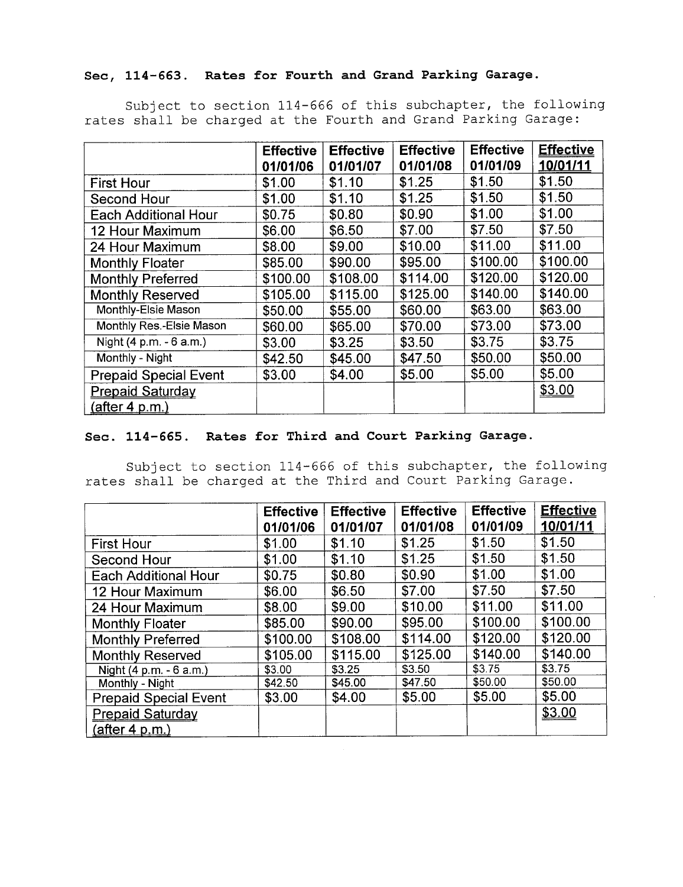# Sec, 114-663. Rates for Fourth and Grand Parking Garage.

Subject to section 114-666 of this subchapter, the following rates shall be charged at the Fourth and Grand Parking Garage:

|                              | <b>Effective</b> | <b>Effective</b> | <b>Effective</b> | <b>Effective</b> | <b>Effective</b> |
|------------------------------|------------------|------------------|------------------|------------------|------------------|
|                              | 01/01/06         | 01/01/07         | 01/01/08         | 01/01/09         | 10/01/11         |
| <b>First Hour</b>            | \$1.00           | \$1.10           | \$1.25           | \$1.50           | \$1.50           |
| Second Hour                  | \$1.00           | \$1.10           | \$1.25           | \$1.50           | \$1.50           |
| <b>Each Additional Hour</b>  | \$0.75           | \$0.80           | \$0.90           | \$1.00           | \$1.00           |
| 12 Hour Maximum              | \$6.00           | \$6.50           | \$7.00           | \$7.50           | \$7.50           |
| 24 Hour Maximum              | \$8.00           | \$9.00           | \$10.00          | \$11.00          | \$11.00          |
| <b>Monthly Floater</b>       | \$85.00          | \$90.00          | \$95.00          | \$100.00         | \$100.00         |
| <b>Monthly Preferred</b>     | \$100.00         | \$108.00         | \$114.00         | \$120.00         | \$120.00         |
| <b>Monthly Reserved</b>      | \$105.00         | \$115.00         | \$125.00         | \$140.00         | \$140.00         |
| Monthly-Elsie Mason          | \$50.00          | \$55.00          | \$60.00          | \$63.00          | \$63.00          |
| Monthly Res.-Elsie Mason     | \$60.00          | \$65.00          | \$70.00          | \$73.00          | \$73.00          |
| Night (4 p.m. - 6 a.m.)      | \$3.00           | \$3.25           | \$3.50           | \$3.75           | \$3.75           |
| Monthly - Night              | \$42.50          | \$45.00          | \$47.50          | \$50.00          | \$50.00          |
| <b>Prepaid Special Event</b> | \$3.00           | \$4.00           | \$5.00           | \$5.00           | \$5.00           |
| <b>Prepaid Saturday</b>      |                  |                  |                  |                  | \$3.00           |
| <u>(after 4 p.m.)</u>        |                  |                  |                  |                  |                  |

### Sec. 114-665. Rates for Third and Court Parking Garage.

Subject to section 114-666 of this subchapter, the following rates shall be charged at the Third and Court Parking Garage.

|                              | <b>Effective</b><br>01/01/06 | <b>Effective</b><br>01/01/07 | <b>Effective</b><br>01/01/08 | <b>Effective</b><br>01/01/09 | <b>Effective</b><br>10/01/11 |
|------------------------------|------------------------------|------------------------------|------------------------------|------------------------------|------------------------------|
| <b>First Hour</b>            | \$1.00                       | \$1.10                       | \$1.25                       | \$1.50                       | \$1.50                       |
| <b>Second Hour</b>           | \$1.00                       | \$1.10                       | \$1.25                       | \$1.50                       | \$1.50                       |
| <b>Each Additional Hour</b>  | \$0.75                       | \$0.80                       | \$0.90                       | \$1.00                       | \$1.00                       |
| 12 Hour Maximum              | \$6.00                       | \$6.50                       | \$7.00                       | \$7.50                       | \$7.50                       |
| 24 Hour Maximum              | \$8.00                       | \$9.00                       | \$10.00                      | \$11.00                      | \$11.00                      |
| <b>Monthly Floater</b>       | \$85.00                      | \$90.00                      | \$95.00                      | \$100.00                     | \$100.00                     |
| <b>Monthly Preferred</b>     | \$100.00                     | \$108.00                     | \$114.00                     | \$120.00                     | \$120.00                     |
| <b>Monthly Reserved</b>      | \$105.00                     | \$115.00                     | \$125.00                     | \$140.00                     | \$140.00                     |
| Night (4 p.m. - 6 a.m.)      | \$3.00                       | \$3.25                       | \$3.50                       | \$3.75                       | \$3.75                       |
| Monthly - Night              | \$42.50                      | \$45.00                      | \$47.50                      | \$50.00                      | \$50.00                      |
| <b>Prepaid Special Event</b> | \$3.00                       | \$4.00                       | \$5.00                       | \$5.00                       | \$5.00                       |
| <b>Prepaid Saturday</b>      |                              |                              |                              |                              | \$3.00                       |
| <u>(after 4 p.m.)</u>        |                              |                              |                              |                              |                              |